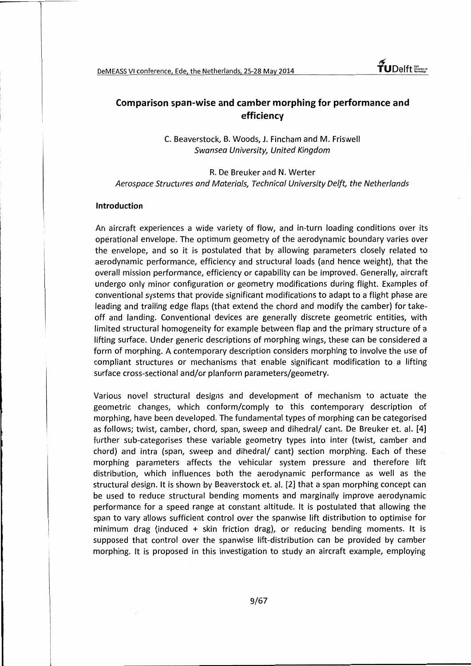# **Comparison span-wise and camber morphing for performance and efficiency**

C. Beaverstock, B. Woods, J. Fincham and M. Friswell Swansea University, United Kingdom

R. De Breuker and N. Werter Aerospace Structures and Materials, Technical University Delft, the Netherlands

#### **Introduction**

An aircraft experiences a wide variety of flow, and in-turn loading conditions over its operational envelope. The optimum geometry of the aerodynamic boundary varies over the envelope, and so it is postulated that by allowing parameters closely related to aerodynamic performance, efficiency and structural loads (and hence weight), that the overall mission performance, efficiency or capability can be improved. Generally, aircraft undergo only minor configuration or geometry modifications during flight. Examples of conventional systems that provide significant modifications to adapt to a flight phase are leading and trailing edge flaps (that extend the chord and modify the camber) for takeoff and landing. Conventional devices are generally discrete geometric entities, with limited structural homogeneity for example between flap and the primary structure of a lifting surface. Under generic descriptions of morphing wings, these can be considered a form of morphing. A contemporary description considers morphing to involve the use of compliant structures or mechanisms that enable significant modification to a lifting surface cross-sectional and/or planform parameters/geometry.

Various novel structural designs and development of mechanism to actuate the geometric changes, which conform/comply to this contemporary description of morphing, have been developed. The fundamental types of morphing can be categorised as follows; twist, camber, chord, span, sweep and dihedral/ cant. De Breuker et. al. [4] further sub-categorises these variable geometry types into inter (twist, camber and chord) and intra (span, sweep and dihedral/ cant) section morphing. Each of these morphing parameters affects the vehicular system pressure and therefore lift distribution, which influences both the aerodynamic performance as well as the structural design. It is shown by Beaverstock et. al. [2] that a span morphing concept can be used to reduce structural bending moments and marginally improve aerodynamic performance for a speed range at constant altitude. It is postulated that allowing the span to vary allows sufficient control over the spanwise lift distribution to optimise for minimum drag (induced + skin friction drag), or reducing bending moments. It is supposed that control over the spanwise lift-distribution can be provided by camber morphing. It is proposed in this investigation to study an aircraft example, employing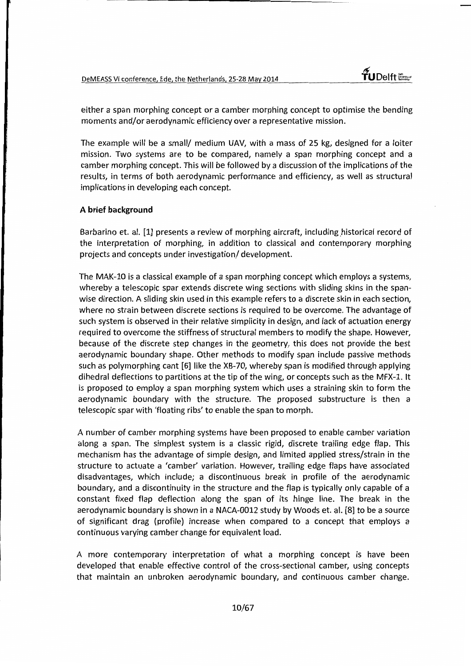either a span morphing concept or a camber morphing concept to optimise the bending moments and/or aerodynamic efficiency over a representative mission.

The example will be a small/ medium UAV, with a mass of 25 kg; designed for a loiter mission. Two systems are to be compared, namely a span morphing concept and a camber morphing concept. This will be followed by a discussion of the implications of the results, in terms of both aerodynamic performance and efficiency, as well as structural implications in developing each concept.

## A brief background

Barbarino et. al. [1] presents a review of morphing aircraft, including historical record of the interpretation of morphing, in addition to classical and contemporary morphing projects and concepts under investigation/ development.

The MAK-10 is a classical example of a span morphing concept which employs a systems, whereby a telescopic spar extends discrete wing sections with sliding skins in the spanwise direction. A sliding skin used in this example refers to a discrete skin in each section, where no strain between discrete sections is required to be overcome. The advantage of such system is observed in their relative simplicity in design, and lack of actuation energy required to overcome the stiffness of structural members to modify the shape. However, because of the discrete step changes in the geometry, this does not provide the best aerodynamic boundary shape. Other methods to modify span include passive methods such as polymorphing cant [G] like the XB-70, whereby span is modified through applying dihedral deflections to partitions at the tip of the wing, or concepts such as the MFX-1. It is proposed to employ a span morphing system which uses a straining skin to form the aerodynamic boundary with the structure. The proposed substructure is then a telescopic spar with 'floating ribs' to enable the span to morph.

A number of camber morphing systems have been proposed to enable camber variation along a span. The simplest system is a classic rigid, discrete trailing edge flap. This mechanism has the advantage of simple design, and limited applied stress/strain in the structure to actuate a 'camber' variation. However, trailing edge flaps have associated disadvantages, which include; a discontinuous break in profile of the aerodynamic boundary, and a discontinuity in the structure and the flap is typically only capable of a constant fixed flap deflection along the span of its hinge line. The break in the aerodynamic boundary is shown in a NACA-0012 study by Woods et. al. [8] to be a source of significant drag (profile) increase when compared to a concept that employs a continuous varying camber change for equivalent load.

A more contemporary interpretation of what a morphing concept is have been developed that enable effective control of the cross-sectional camber, using concepts that maintain an unbroken aerodynamic boundary, and continuous camber change.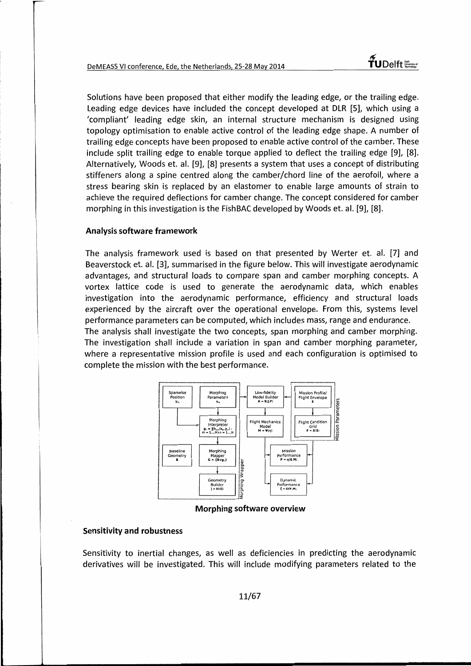Solutions have been proposed that either modify the leading edge, or the trailing edge. Leading edge devices have included the concept developed at DLR [S], which using a 'compliant' leading edge skin, an internal structure mechanism is designed using topology optimisation to enable active control of the leading edge shape. A number of trailing edge concepts have been proposed to enable active control of the camber. These include split trailing edge to enable torque applied to deflect the trailing edge [9], [8]. Alternatively, Woods et. al. [9], [8] presents a system that uses a concept of distributing stiffeners along a spine centred along the camber/chord line of the aerofoil, where a stress bearing skin is replaced by an elastomer to enable large amounts of strain to achieve the required deflections for camber change. The concept considered for camber morphing in this investigation is the FishBAC developed by Woods et. al. [9], [8].

#### Analysis software framework

The analysis framework used is based on that presented by Werter et. al. [7] and Beaverstock et. al. [3], summarised in the figure below. This will investigate aerodynamic advantages, and structural loads to compare span and camber morphing concepts. A vortex lattice code is used to generate the aerodynamic data, which enables investigation into the aerodynamic performance, efficiency and structural loads experienced by the aircraft over the operational envelope. From this, systems level performance parameters can be computed, which includes mass, range and endurance. The analysis shall investigate the two concepts, span morphing and camber morphing. The investigation shall include a variation in span and camber morphing parameter, where a representative mission profile is used and each configuration is optimised to complete the mission with the best performance.



Morphing software overview

### Sensitivity and robustness

Sensitivity to inertial changes, as well as deficiencies in predicting the aerodynamic derivatives will be investigated. This will include modifying parameters related to the